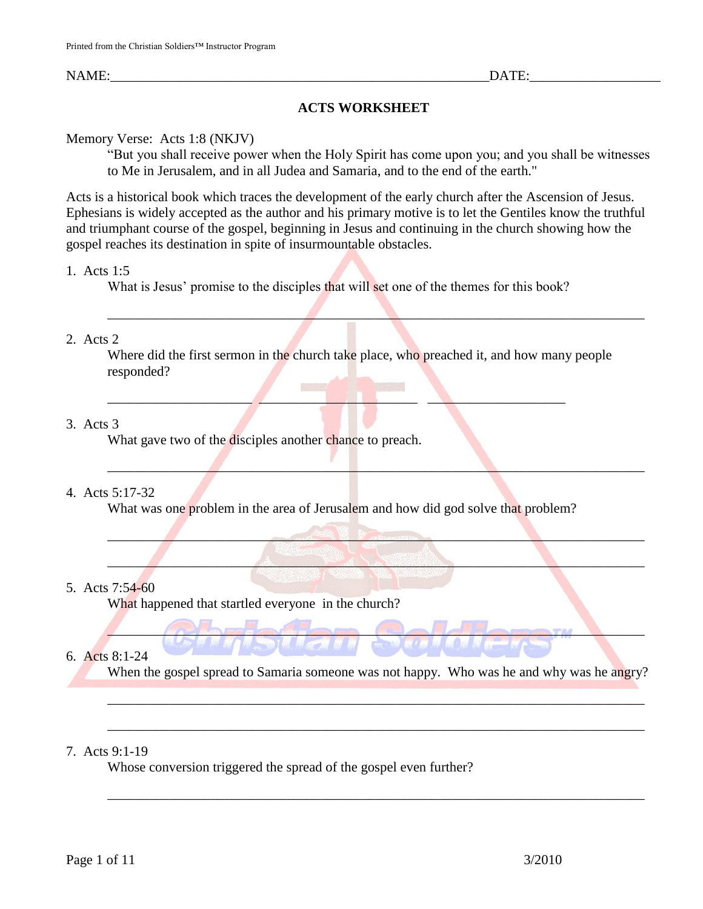# **ACTS WORKSHEET**

Memory Verse: Acts 1:8 (NKJV)

"But you shall receive power when the Holy Spirit has come upon you; and you shall be witnesses to Me in Jerusalem, and in all Judea and Samaria, and to the end of the earth."

Acts is a historical book which traces the development of the early church after the Ascension of Jesus. Ephesians is widely accepted as the author and his primary motive is to let the Gentiles know the truthful and triumphant course of the gospel, beginning in Jesus and continuing in the church showing how the gospel reaches its destination in spite of insurmountable obstacles.

## 1. Acts 1:5

What is Jesus' promise to the disciples that will set one of the themes for this book?

 $\Box$  . The contract of the contract of  $\Box$  ,  $\Box$  ,  $\Box$  ,  $\Box$  ,  $\Box$  ,  $\Box$  ,  $\Box$  ,  $\Box$  ,  $\Box$  ,  $\Box$  ,  $\Box$ 

动画

# 2. Acts 2

Where did the first sermon in the church take place, who preached it, and how many people responded?

\_\_\_\_\_\_\_\_\_\_\_\_\_\_\_\_\_\_\_\_\_\_\_\_\_\_\_\_\_\_\_\_\_\_\_\_\_\_\_\_\_\_\_\_\_\_\_\_\_\_\_\_\_\_\_\_\_\_\_\_\_\_\_\_\_\_\_\_\_\_\_\_\_\_\_\_\_\_

 $\mathbb{Z}^n$  , which is the contribution of  $\mathbb{Z}^n$  , which is the contribution of  $\mathbb{Z}^n$  , where  $\mathbb{Z}^n$ 

\_\_\_\_\_\_\_\_\_\_\_\_\_\_\_\_\_\_\_\_\_\_\_\_\_\_\_\_\_\_\_\_\_\_\_\_\_\_\_\_\_\_\_\_\_\_\_\_\_\_\_\_\_\_\_\_\_\_\_\_\_\_\_\_\_\_\_\_\_\_\_\_\_\_\_\_\_\_

\_\_\_\_\_\_\_\_\_\_\_\_\_\_\_\_\_\_\_\_\_\_\_\_\_\_\_\_\_\_\_\_\_\_\_\_\_\_\_\_\_\_\_\_\_\_\_\_\_\_\_\_\_\_\_\_\_\_\_\_\_\_\_\_\_\_\_\_\_\_\_\_\_\_\_\_\_\_

# 3. Acts 3

What gave two of the disciples another chance to preach.

# 4. Acts 5:17-32

What was one problem in the area of Jerusalem and how did god solve that problem?

# 5. Acts 7:54-60

What happened that startled everyone in the church?

# 6. Acts 8:1-24

When the gospel spread to Samaria someone was not happy. Who was he and why was he angry?

\_\_\_\_\_\_\_\_\_\_\_\_\_\_\_\_\_\_\_\_\_\_\_\_\_\_\_\_\_\_\_\_\_\_\_\_\_\_\_\_\_\_\_\_\_\_\_\_\_\_\_\_\_\_\_\_\_\_\_\_\_\_\_\_\_\_\_\_\_\_\_\_\_\_\_\_\_\_

\_\_\_\_\_\_\_\_\_\_\_\_\_\_\_\_\_\_\_\_\_\_\_\_\_\_\_\_\_\_\_\_\_\_\_\_\_\_\_\_\_\_\_\_\_\_\_\_\_\_\_\_\_\_\_\_\_\_\_\_\_\_\_\_\_\_\_\_\_\_\_\_\_\_\_\_\_\_

\_\_\_\_\_\_\_\_\_\_\_\_\_\_\_\_\_\_\_\_\_\_\_\_\_\_\_\_\_\_\_\_\_\_\_\_\_\_\_\_\_\_\_\_\_\_\_\_\_\_\_\_\_\_\_\_\_\_\_\_\_\_\_\_\_\_\_\_\_\_\_\_\_\_\_\_\_\_

 $\mathcal{L} = \mathcal{L} \mathcal{L} \mathcal{L} \mathcal{L} \mathcal{L} \mathcal{L} \mathcal{L} \mathcal{L} \mathcal{L} \mathcal{L} \mathcal{L} \mathcal{L} \mathcal{L} \mathcal{L} \mathcal{L} \mathcal{L} \mathcal{L} \mathcal{L} \mathcal{L} \mathcal{L} \mathcal{L} \mathcal{L} \mathcal{L} \mathcal{L} \mathcal{L} \mathcal{L} \mathcal{L} \mathcal{L} \mathcal{L} \mathcal{L} \mathcal{L} \mathcal{L} \mathcal{L} \mathcal{L} \mathcal{L} \mathcal$ 

# 7. Acts 9:1-19

Whose conversion triggered the spread of the gospel even further?

**KANGER WAY**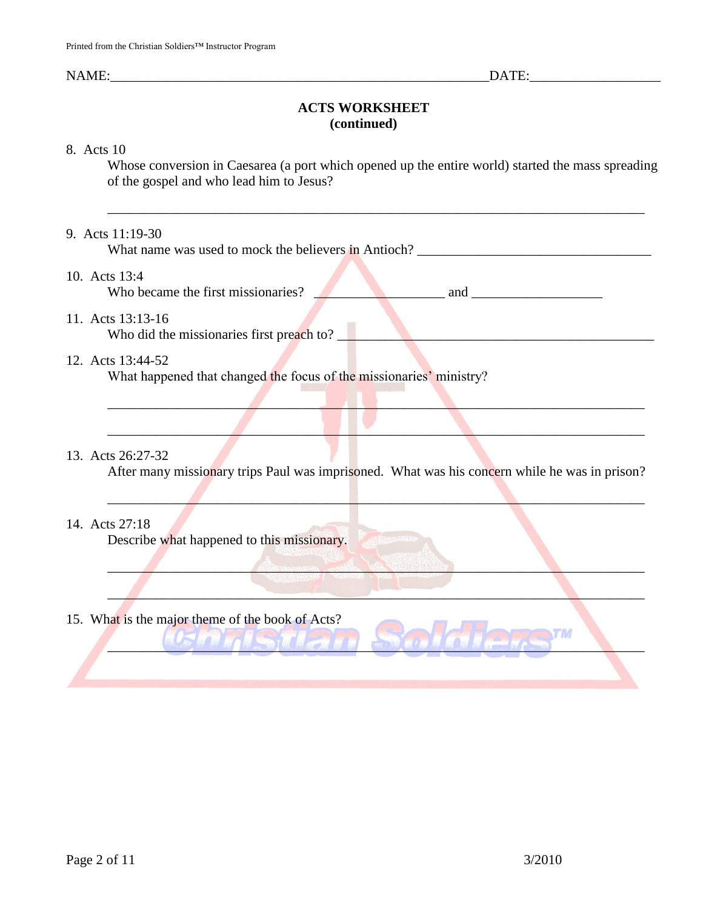# **ACTS WORKSHEET (continued)**

#### 8. Acts 10

Whose conversion in Caesarea (a port which opened up the entire world) started the mass spreading of the gospel and who lead him to Jesus?

\_\_\_\_\_\_\_\_\_\_\_\_\_\_\_\_\_\_\_\_\_\_\_\_\_\_\_\_\_\_\_\_\_\_\_\_\_\_\_\_\_\_\_\_\_\_\_\_\_\_\_\_\_\_\_\_\_\_\_\_\_\_\_\_\_\_\_\_\_\_\_\_\_\_\_\_\_\_

#### 9. Acts 11:19-30

What name was used to mock the believers in Antioch? \_\_\_\_\_\_\_\_\_\_\_\_\_\_\_\_\_\_\_\_\_\_\_\_\_\_\_\_\_\_\_\_\_\_

### 10. Acts 13:4

Who became the first missionaries? \_\_\_\_\_\_\_\_\_\_\_\_\_\_\_\_\_\_\_ and \_\_\_\_\_\_\_\_\_\_\_\_\_\_\_\_\_\_\_

#### 11. Acts 13:13-16

Who did the missionaries first preach to?  $\blacksquare$ 

## 12. Acts 13:44-52

What happened that changed the focus of the missionaries' ministry?

### 13. Acts 26:27-32

After many missionary trips Paul was imprisoned. What was his concern while he was in prison?

 $\mathbb{E}_{\mathcal{L}}$  , and the set of the set of the set of the set of the set of the set of the set of the set of the set of the set of the set of the set of the set of the set of the set of the set of the set of the set of th

**Alexander Communication of the Communication of the Communication of the Communication of the Communication of the Communication of the Communication of the Communication of the Communication of the Communication of the C** 

 $\mathcal{L}$  , and the contribution of the contribution of the contribution of the contribution of the contribution of the contribution of the contribution of the contribution of the contribution of the contribution of the co

 $\mathcal{L} = \mathcal{L} \mathcal{L} = \mathcal{L} \mathcal{L}$ 

## 14. Acts 27:18

Describe what happened to this missionary.

 $\Box$ 

15. What is the major theme of the book of Acts?

\_\_\_\_\_\_\_\_\_\_\_\_\_\_\_\_\_\_\_\_\_\_\_\_\_\_\_\_\_\_\_\_\_\_\_\_\_\_\_\_\_\_\_\_\_\_\_\_\_\_\_\_\_\_\_\_\_\_\_\_\_\_\_\_\_\_\_\_\_\_\_\_\_\_\_\_\_\_

**TM**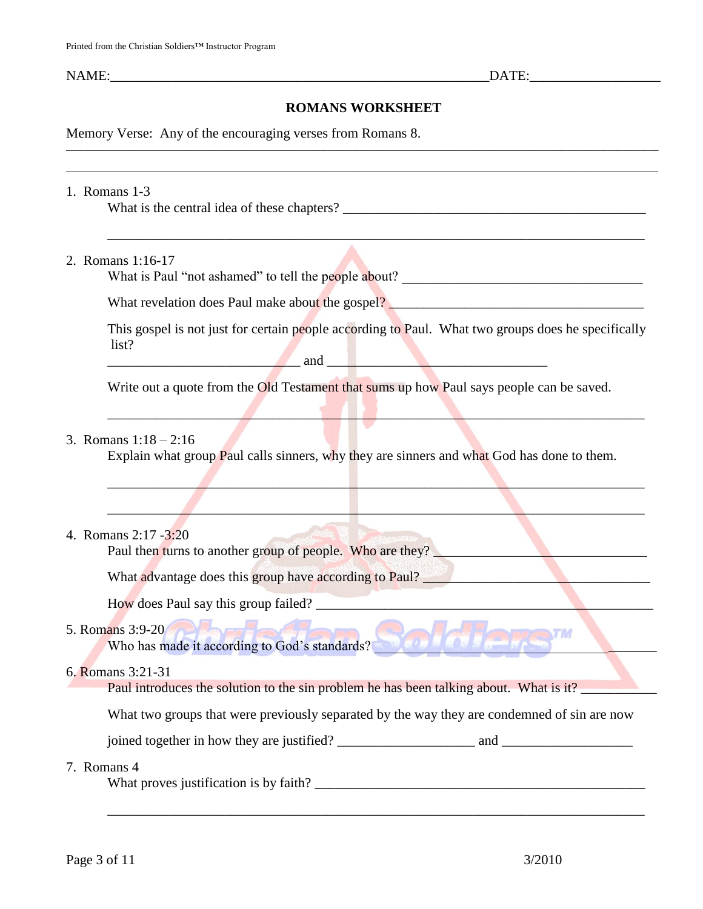# **ROMANS WORKSHEET**

\_\_\_\_\_\_\_\_\_\_\_\_\_\_\_\_\_\_\_\_\_\_\_\_\_\_\_\_\_\_\_\_\_\_\_\_\_\_\_\_\_\_\_\_\_\_\_\_\_\_\_\_\_\_\_\_\_\_\_\_\_\_\_\_\_\_\_\_\_\_\_\_\_\_\_\_\_\_\_\_\_\_\_\_\_\_\_\_\_\_\_\_\_\_\_\_\_\_\_\_\_\_\_\_\_\_\_\_\_\_\_\_\_\_\_\_\_\_\_\_\_\_\_\_\_\_\_\_\_ \_\_\_\_\_\_\_\_\_\_\_\_\_\_\_\_\_\_\_\_\_\_\_\_\_\_\_\_\_\_\_\_\_\_\_\_\_\_\_\_\_\_\_\_\_\_\_\_\_\_\_\_\_\_\_\_\_\_\_\_\_\_\_\_\_\_\_\_\_\_\_\_\_\_\_\_\_\_\_\_\_\_\_\_\_\_\_\_\_\_\_\_\_\_\_\_\_\_\_\_\_\_\_\_\_\_\_\_\_\_\_\_\_\_\_\_\_\_\_\_\_\_\_\_\_\_\_\_\_

Memory Verse: Any of the encouraging verses from Romans 8.

### 1. Romans 1-3

What is the central idea of these chapters?

2. Romans 1:16-17

What is Paul "not ashamed" to tell the people about?

What revelation does Paul make about the gospel?

This gospel is not just for certain people according to Paul. What two groups does he specifically list? and  $\Box$ 

 $\mathbb{E}[\mathbf{z}^T] = \mathbf{z}^T \mathbf{z}^T$  , where  $\mathbf{z}^T$  , where  $\mathbf{z}^T$  , we have the set of  $\mathbf{z}^T$ 

 $\mathcal{L} = \{ \mathcal{L} \mid \mathcal{L} \in \mathcal{L} \}$  , where  $\mathcal{L} = \{ \mathcal{L} \mid \mathcal{L} \in \mathcal{L} \}$  , where  $\mathcal{L} = \{ \mathcal{L} \mid \mathcal{L} \in \mathcal{L} \}$ 

\_\_\_\_\_\_\_\_\_\_\_\_\_\_\_\_\_\_\_\_\_\_\_\_\_\_\_\_\_\_\_\_\_\_\_\_\_\_\_\_\_\_\_\_\_\_\_\_\_\_\_\_\_\_\_\_\_\_\_\_\_\_\_\_\_\_\_\_\_\_\_\_\_\_\_\_\_\_

\_\_\_\_\_\_\_\_\_\_\_\_\_\_\_\_\_\_\_\_\_\_\_\_\_\_\_\_\_\_\_\_\_\_\_\_\_\_\_\_\_\_\_\_\_\_\_\_\_\_\_\_\_\_\_\_\_\_\_\_\_\_\_\_\_\_\_\_\_\_\_\_\_\_\_\_\_\_

Write out a quote from the **Old Testament that sums up how Paul says people can be saved.** 

## 3. Romans 1:18 – 2:16

Explain what group **P**aul calls sinners, why they are sinners and what God has done to them.

### 4. Romans 2:17 -3:20

Paul then turns to another group of people. Who are they?

What advantage does this group have according to Paul?

How does Paul say this group failed?

## 5. Romans 3:9-20

Who has made it according to God's standards?

### 6. Romans 3:21-31

Paul introduces the solution to the sin problem he has been talking about. What is it?

What two groups that were previously separated by the way they are condemned of sin are now

joined together in how they are justified? and and  $\Box$ 

\_\_\_\_\_\_\_\_\_\_\_\_\_\_\_\_\_\_\_\_\_\_\_\_\_\_\_\_\_\_\_\_\_\_\_\_\_\_\_\_\_\_\_\_\_\_\_\_\_\_\_\_\_\_\_\_\_\_\_\_\_\_\_\_\_\_\_\_\_\_\_\_\_\_\_\_\_\_

### 7. Romans 4

What proves justification is by faith? \_\_\_\_\_\_\_\_\_\_\_\_\_\_\_\_\_\_\_\_\_\_\_\_\_\_\_\_\_\_\_\_\_\_\_\_\_\_\_\_\_\_\_\_\_\_\_\_

**STAR**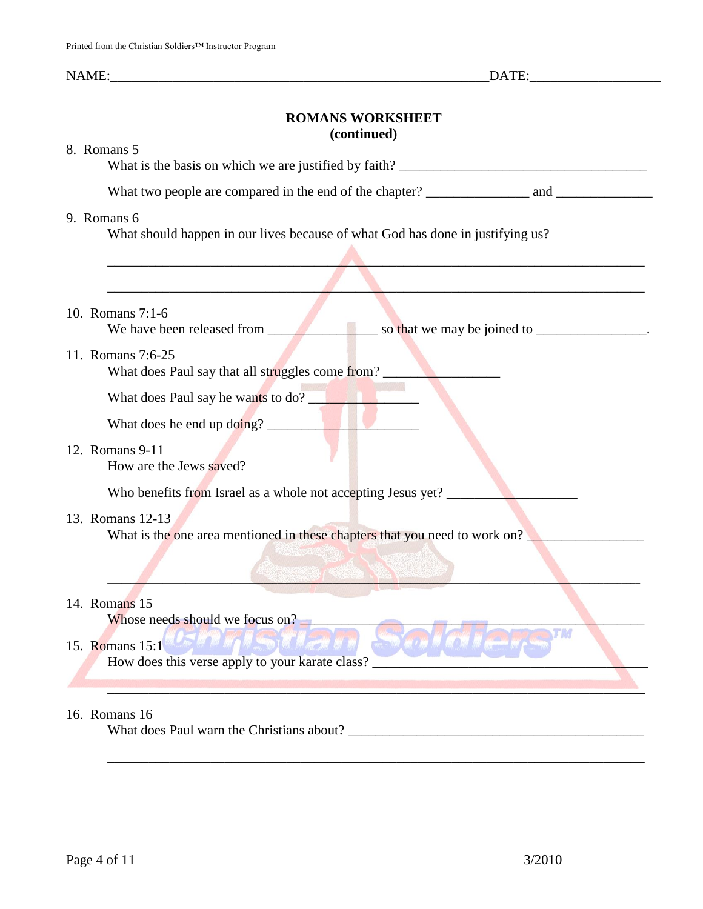## **ROMANS WORKSHEET (continued)**

| 8. Romans 5                                                                                    |
|------------------------------------------------------------------------------------------------|
|                                                                                                |
| 9. Romans 6<br>What should happen in our lives because of what God has done in justifying us?  |
|                                                                                                |
|                                                                                                |
| 10. Romans 7:1-6<br>We have been released from                                                 |
| 11. Romans 7:6-25<br>What does Paul say that all struggles come from?                          |
| What does Paul say he wants to do?                                                             |
| What does he end up doing?                                                                     |
| 12. Romans 9-11<br>How are the Jews saved?                                                     |
| Who benefits from Israel as a whole not accepting Jesus yet? _                                 |
| 13. Romans 12-13<br>What is the one area mentioned in these chapters that you need to work on? |
|                                                                                                |
| 14. Romans 15<br>Whose needs should we focus on?                                               |
| LOW THE LEWIS COMMUNICATION<br>15. Romans 15:1                                                 |
| How does this verse apply to your karate class?                                                |
|                                                                                                |
| 16. Romans 16                                                                                  |

\_\_\_\_\_\_\_\_\_\_\_\_\_\_\_\_\_\_\_\_\_\_\_\_\_\_\_\_\_\_\_\_\_\_\_\_\_\_\_\_\_\_\_\_\_\_\_\_\_\_\_\_\_\_\_\_\_\_\_\_\_\_\_\_\_\_\_\_\_\_\_\_\_\_\_\_\_\_

What does Paul warn the Christians about? \_\_\_\_\_\_\_\_\_\_\_\_\_\_\_\_\_\_\_\_\_\_\_\_\_\_\_\_\_\_\_\_\_\_\_\_\_\_\_\_\_\_\_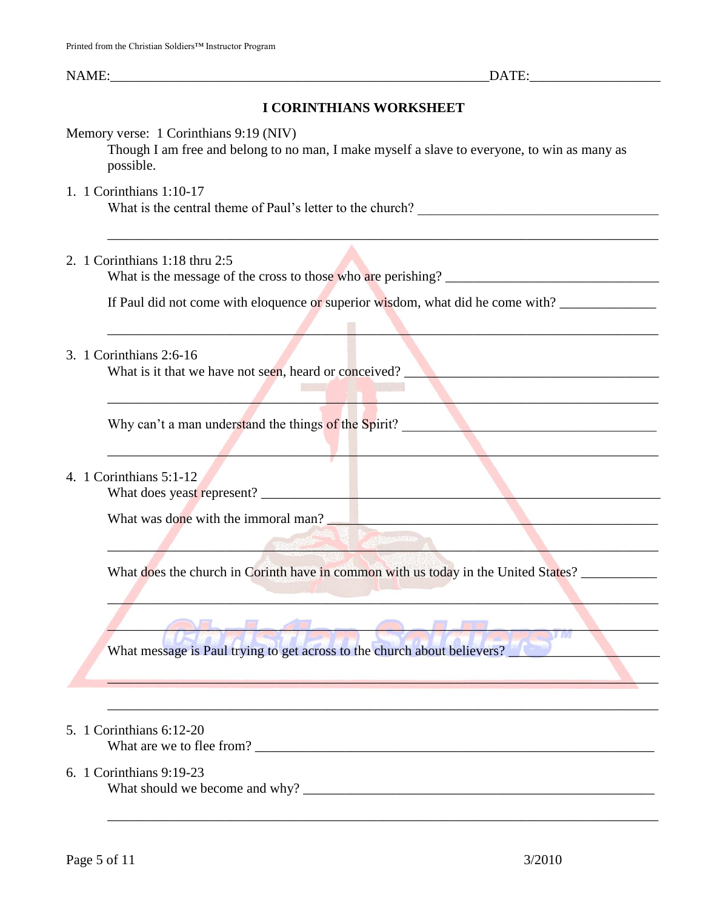# **I CORINTHIANS WORKSHEET**

| Memory verse: 1 Corinthians 9:19 (NIV) |  |  |
|----------------------------------------|--|--|
|----------------------------------------|--|--|

Though I am free and belong to no man, I make myself a slave to everyone, to win as many as possible.

\_\_\_\_\_\_\_\_\_\_\_\_\_\_\_\_\_\_\_\_\_\_\_\_\_\_\_\_\_\_\_\_\_\_\_\_\_\_\_\_\_\_\_\_\_\_\_\_\_\_\_\_\_\_\_\_\_\_\_\_\_\_\_\_\_\_\_\_\_\_\_\_\_\_\_\_\_\_\_\_

\_\_\_\_\_\_\_\_\_\_\_\_\_\_\_\_\_\_\_\_\_\_\_\_\_\_\_\_\_\_\_\_\_\_\_\_\_\_\_\_\_\_\_\_\_\_\_\_\_\_\_\_\_\_\_\_\_\_\_\_\_\_\_\_\_\_\_\_\_\_\_\_\_\_\_\_\_\_\_\_

\_\_\_\_\_\_\_\_\_\_\_\_\_\_\_\_\_\_\_\_\_\_\_\_\_\_\_\_\_\_\_\_\_\_\_\_\_\_\_\_\_\_\_\_\_\_\_\_\_\_\_\_\_\_\_\_\_\_\_\_\_\_\_\_\_\_\_\_\_\_\_\_\_\_\_\_\_\_\_\_

 $\qquad \qquad A$ 

 $\mathcal{L}$  , and the contribution of the contribution of the contribution of the contribution of the contribution of the contribution of the contribution of the contribution of the contribution of the contribution of the co

 $\mathcal{L}$  and the set of the set of the set of the set of the set of the set of the set of the set of the set of the set of the set of the set of the set of the set of the set of the set of the set of the set of the set of

\_\_\_\_\_\_\_\_\_\_\_\_\_\_\_\_\_\_\_\_\_\_\_\_\_\_\_\_\_\_\_\_\_\_\_\_\_\_\_\_\_\_\_\_\_\_\_\_\_\_\_\_\_\_\_\_\_\_\_\_\_\_\_\_\_\_\_\_\_\_\_\_\_\_\_\_\_\_\_\_

\_\_\_\_\_\_\_\_\_\_\_\_\_\_\_\_\_\_\_\_\_\_\_\_\_\_\_\_\_\_\_\_\_\_\_\_\_\_\_\_\_\_\_\_\_\_\_\_\_\_\_\_\_\_\_\_\_\_\_\_\_\_\_\_\_\_\_\_\_\_\_\_\_\_\_\_\_\_\_\_

\_\_\_\_\_\_\_\_\_\_\_\_\_\_\_\_\_\_\_\_\_\_\_\_\_\_\_\_\_\_\_\_\_\_\_\_\_\_\_\_\_\_\_\_\_\_\_\_\_\_\_\_\_\_\_\_\_\_\_\_\_\_\_\_\_\_\_\_\_\_\_\_\_\_\_\_\_\_\_\_

1. 1 Corinthians 1:10-17

What is the central theme of Paul's letter to the church?

# 2. 1 Corinthians 1:18 thru 2:5

What is the message of the cross to those who are perishing? \_\_\_\_\_\_\_\_\_\_\_\_\_\_\_\_\_\_\_\_\_\_\_\_\_\_\_\_\_\_\_

If Paul did not come with eloquence or superior wisdom, what did he come with?

 $\mathcal{L}^{\text{max}}_{\text{max}}$ 

## 3. 1 Corinthians 2:6-16

What is it that we have not seen, heard or conceived?

Why can't a man understand the things of the Spirit?

# 4. 1 Corinthians 5:1-12

What does yeast represent? \_\_\_\_\_\_\_\_\_\_\_\_\_\_\_\_\_\_\_\_\_\_\_\_\_\_\_\_\_\_\_\_\_\_\_\_\_\_\_\_\_\_\_\_\_\_\_\_\_\_\_\_\_\_\_\_\_\_

What was done with the immoral man?

What does the church in Corinth have in common with us today in the United States? \_\_\_\_\_\_\_\_\_\_\_\_\_\_\_\_

What message is Paul trying to get across to the church about believers?

# 5. 1 Corinthians 6:12-20

What are we to flee from?

# 6. 1 Corinthians 9:19-23

What should we become and why? \_\_\_\_\_\_\_\_\_\_\_\_\_\_\_\_\_\_\_\_\_\_\_\_\_\_\_\_\_\_\_\_\_\_\_\_\_\_\_\_\_\_\_\_\_\_\_\_\_\_\_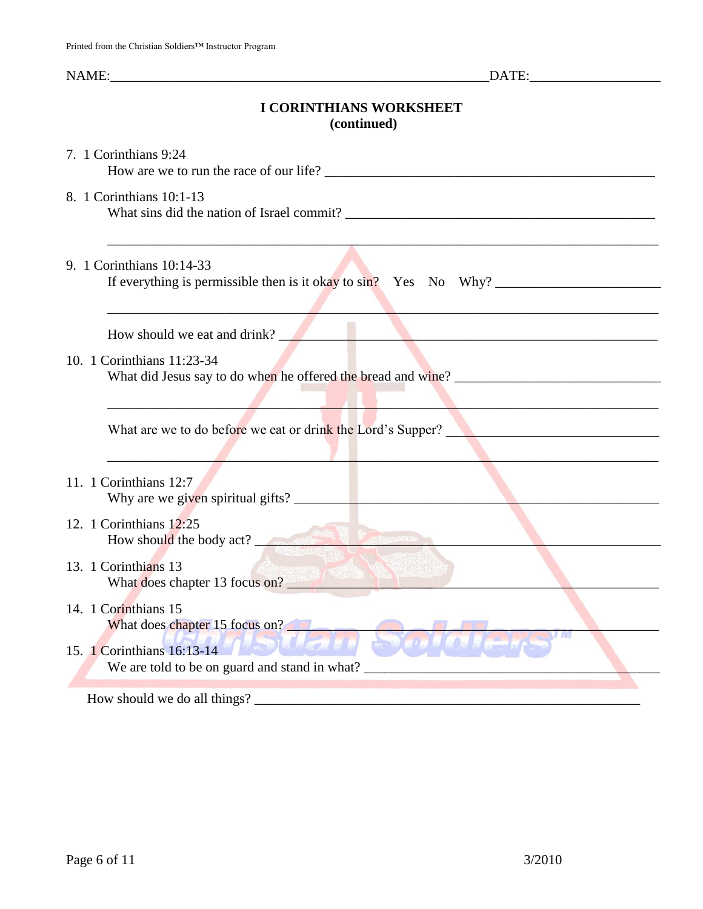# **I CORINTHIANS WORKSHEET (continued)**

| 7. 1 Corinthians 9:24                                                                                                                        |
|----------------------------------------------------------------------------------------------------------------------------------------------|
| 8. 1 Corinthians 10:1-13                                                                                                                     |
| 9. 1 Corinthians 10:14-33<br>If everything is permissible then is it okay to sin? Yes No Why?                                                |
| How should we eat and drink?                                                                                                                 |
| 10. 1 Corinthians 11:23-34                                                                                                                   |
| What are we to do before we eat or drink the Lord's Supper?                                                                                  |
| 11. 1 Corinthians 12:7                                                                                                                       |
| 12. 1 Corinthians 12:25<br>How should the body act?                                                                                          |
| 13. 1 Corinthians 13<br>What does chapter 13 focus on?                                                                                       |
| 14. 1 Corinthians 15<br>What does chapter 15 focus on?<br>15. 1 Corinthians 16:13-14<br>M M<br>We are told to be on guard and stand in what? |
| How should we do all things?                                                                                                                 |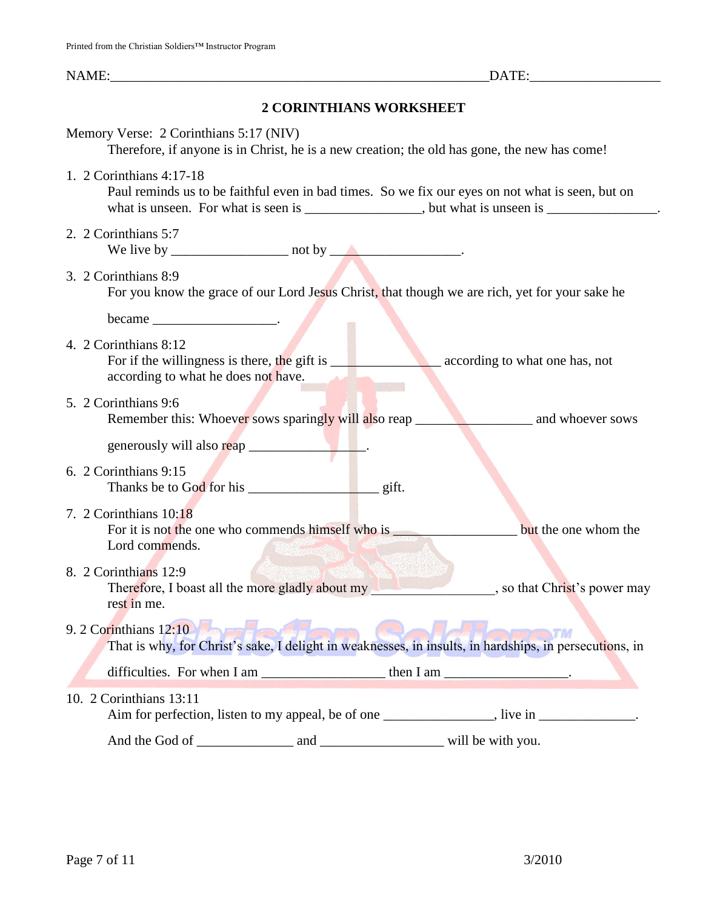|                                                                                                                               | NAME: DATE:                                                                                                                                                                                   |
|-------------------------------------------------------------------------------------------------------------------------------|-----------------------------------------------------------------------------------------------------------------------------------------------------------------------------------------------|
|                                                                                                                               | <b>2 CORINTHIANS WORKSHEET</b>                                                                                                                                                                |
| Memory Verse: 2 Corinthians 5:17 (NIV)                                                                                        | Therefore, if anyone is in Christ, he is a new creation; the old has gone, the new has come!                                                                                                  |
| 1. 2 Corinthians 4:17-18                                                                                                      | Paul reminds us to be faithful even in bad times. So we fix our eyes on not what is seen, but on<br>what is unseen. For what is seen is _______________, but what is unseen is _____________. |
| 2. 2 Corinthians 5:7<br>We live by $\frac{1}{\sqrt{1-\frac{1}{2}}}\$ not by $\frac{1}{\sqrt{1-\frac{1}{2}}}\$ .               |                                                                                                                                                                                               |
| 3. 2 Corinthians 8:9                                                                                                          | For you know the grace of our Lord Jesus Christ, that though we are rich, yet for your sake he                                                                                                |
| $became$ ________________________.                                                                                            |                                                                                                                                                                                               |
| 4. 2 Corinthians 8:12<br>For if the willingness is there, the gift is<br>according to what he does not have.                  | according to what one has, not                                                                                                                                                                |
| 5. 2 Corinthians 9:6                                                                                                          |                                                                                                                                                                                               |
|                                                                                                                               |                                                                                                                                                                                               |
| 6. 2 Corinthians 9:15                                                                                                         |                                                                                                                                                                                               |
| 7. 2 Corinthians 10:18<br>For it is not the one who commends himself who is _______________________________<br>Lord commends. | but the one whom the                                                                                                                                                                          |
| 8. 2 Corinthians 12:9<br>rest in me.                                                                                          | Therefore, I boast all the more gladly about my south that's power may                                                                                                                        |
| 9. 2 Corinthians 12:10                                                                                                        | That is why, for Christ's sake, I delight in weaknesses, in insults, in hardships, in persecutions, in                                                                                        |
|                                                                                                                               |                                                                                                                                                                                               |
| 10. 2 Corinthians 13:11                                                                                                       | Aim for perfection, listen to my appeal, be of one _____________, live in __________.                                                                                                         |
|                                                                                                                               |                                                                                                                                                                                               |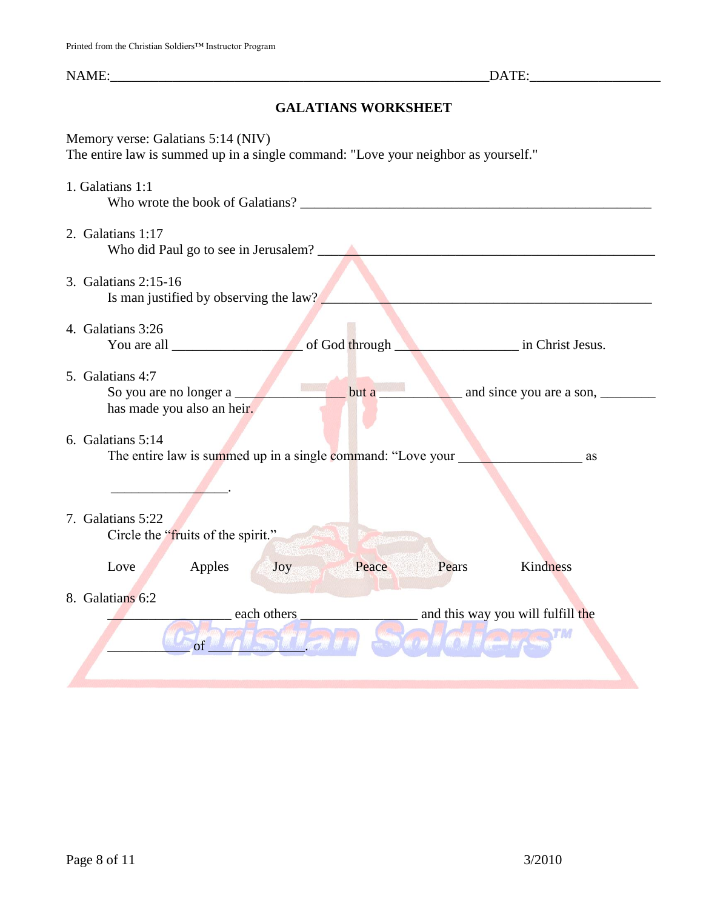# **GALATIANS WORKSHEET**

| Memory verse: Galatians 5:14 (NIV)<br>The entire law is summed up in a single command: "Love your neighbor as yourself." |                                                                 |
|--------------------------------------------------------------------------------------------------------------------------|-----------------------------------------------------------------|
| 1. Galatians 1:1                                                                                                         |                                                                 |
| 2. Galatians 1:17<br>Who did Paul go to see in Jerusalem?                                                                |                                                                 |
| 3. Galatians 2:15-16<br>Is man justified by observing the law?                                                           |                                                                 |
| 4. Galatians 3:26                                                                                                        |                                                                 |
| 5. Galatians 4:7<br>but a<br>So you are no longer a<br>has made you also an heir.                                        |                                                                 |
| 6. Galatians 5:14<br>The entire law is summed up in a single command: "Love your                                         | as                                                              |
| 7. Galatians 5:22<br>Circle the "fruits of the spirit."<br><b><i><b>CONTRACTOR</b></i></b>                               |                                                                 |
| Apples<br>Peace<br>Love<br>Joy                                                                                           | Kindness<br>Pears                                               |
| 8. Galatians 6:2<br>each others<br>of                                                                                    | and this way you will fulfill the<br><b>SALACTAR AND REPORT</b> |
|                                                                                                                          |                                                                 |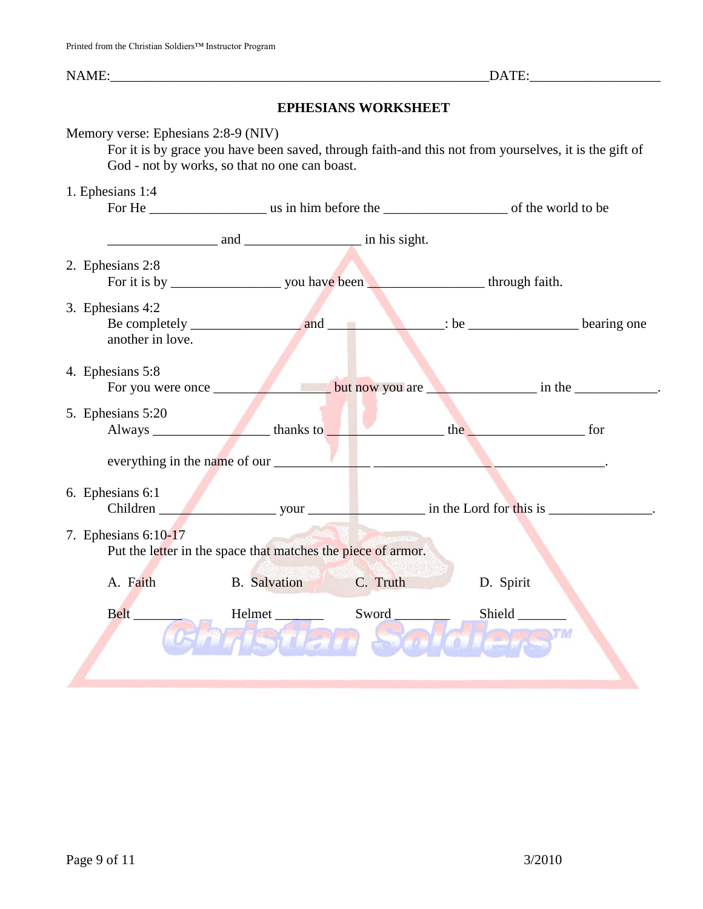| NAME: |  |  |
|-------|--|--|
|       |  |  |

# **EPHESIANS WORKSHEET**

| Memory verse: Ephesians 2:8-9 (NIV)<br>For it is by grace you have been saved, through faith-and this not from yourselves, it is the gift of<br>God - not by works, so that no one can boast. |                                                                                                                        |          |           |  |  |
|-----------------------------------------------------------------------------------------------------------------------------------------------------------------------------------------------|------------------------------------------------------------------------------------------------------------------------|----------|-----------|--|--|
| 1. Ephesians 1:4                                                                                                                                                                              |                                                                                                                        |          |           |  |  |
|                                                                                                                                                                                               | $\frac{1}{2}$ and $\frac{1}{2}$ and $\frac{1}{2}$ in his sight.                                                        |          |           |  |  |
| 2. Ephesians 2:8                                                                                                                                                                              |                                                                                                                        |          |           |  |  |
| 3. Ephesians 4:2<br>another in love.                                                                                                                                                          |                                                                                                                        |          |           |  |  |
| 4. Ephesians 5:8<br>For you were once                                                                                                                                                         |                                                                                                                        |          |           |  |  |
| 5. Ephesians 5:20                                                                                                                                                                             |                                                                                                                        |          |           |  |  |
| 6. Ephesians 6:1<br>7. Ephesians 6:10-17                                                                                                                                                      | everything in the name of our $\sqrt{1 + \frac{1}{2}}$<br>Put the letter in the space that matches the piece of armor. |          |           |  |  |
| A. Faith                                                                                                                                                                                      | <b>B.</b> Salvation                                                                                                    | C. Truth | D. Spirit |  |  |
| <b>Belt</b>                                                                                                                                                                                   | Helmet                                                                                                                 | Sword    | Shield    |  |  |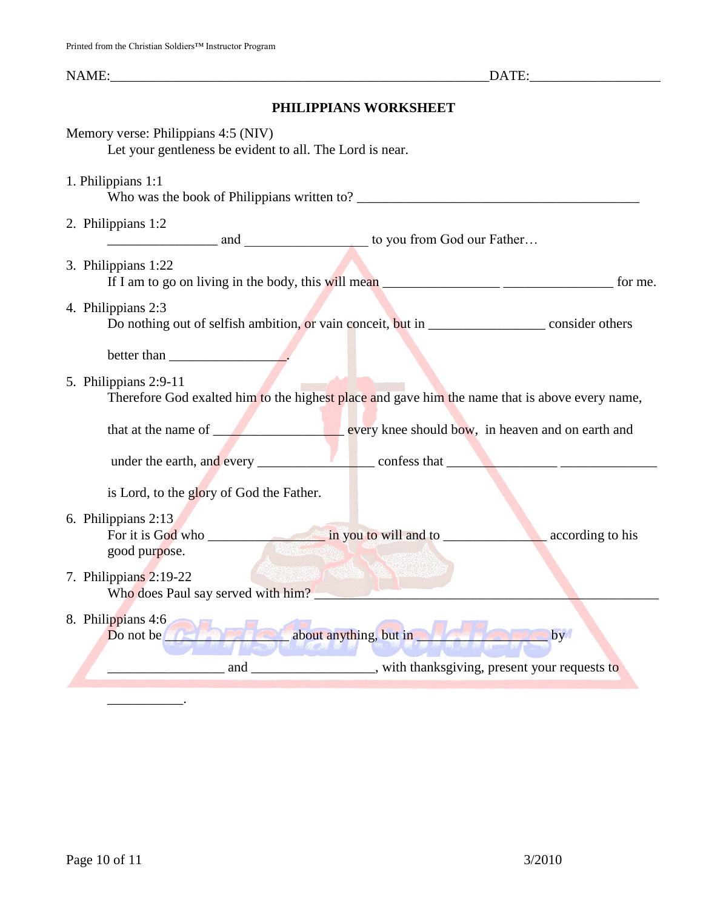## **PHILIPPIANS WORKSHEET**

|                                                                                                                         | Memory verse: Philippians 4:5 (NIV)<br>Let your gentleness be evident to all. The Lord is near.                                                                                                                                                                  |  |  |  |
|-------------------------------------------------------------------------------------------------------------------------|------------------------------------------------------------------------------------------------------------------------------------------------------------------------------------------------------------------------------------------------------------------|--|--|--|
|                                                                                                                         | 1. Philippians 1:1                                                                                                                                                                                                                                               |  |  |  |
|                                                                                                                         | 2. Philippians 1:2                                                                                                                                                                                                                                               |  |  |  |
|                                                                                                                         | 3. Philippians 1:22<br>for me.                                                                                                                                                                                                                                   |  |  |  |
|                                                                                                                         | 4. Philippians 2:3<br>Do nothing out of selfish ambition, or vain conceit, but in ______________ consider others                                                                                                                                                 |  |  |  |
|                                                                                                                         | better than $\frac{1}{\sqrt{1-\frac{1}{2}} \cdot \frac{1}{2}}$                                                                                                                                                                                                   |  |  |  |
| 5. Philippians 2:9-11<br>Therefore God exalted him to the highest place and gave him the name that is above every name, |                                                                                                                                                                                                                                                                  |  |  |  |
|                                                                                                                         | that at the name of <u>servery</u> knee should bow, in heaven and on earth and                                                                                                                                                                                   |  |  |  |
|                                                                                                                         |                                                                                                                                                                                                                                                                  |  |  |  |
|                                                                                                                         | is Lord, to the glory of God the Father.                                                                                                                                                                                                                         |  |  |  |
|                                                                                                                         | 6. Philippians 2:13<br>according to his<br>good purpose.                                                                                                                                                                                                         |  |  |  |
|                                                                                                                         | 7. Philippians 2:19-22<br>Who does Paul say served with him?                                                                                                                                                                                                     |  |  |  |
|                                                                                                                         | 8. Philippians 4:6<br>Do not be <b>the contract of the contract of the contract of the contract of the contract of the contract of the contract of the contract of the contract of the contract of the contract of the contract of the contract of the</b><br>by |  |  |  |
|                                                                                                                         | and<br>with thanksgiving, present your requests to                                                                                                                                                                                                               |  |  |  |

 $\frac{1}{2}$  and  $\frac{1}{2}$  and  $\frac{1}{2}$